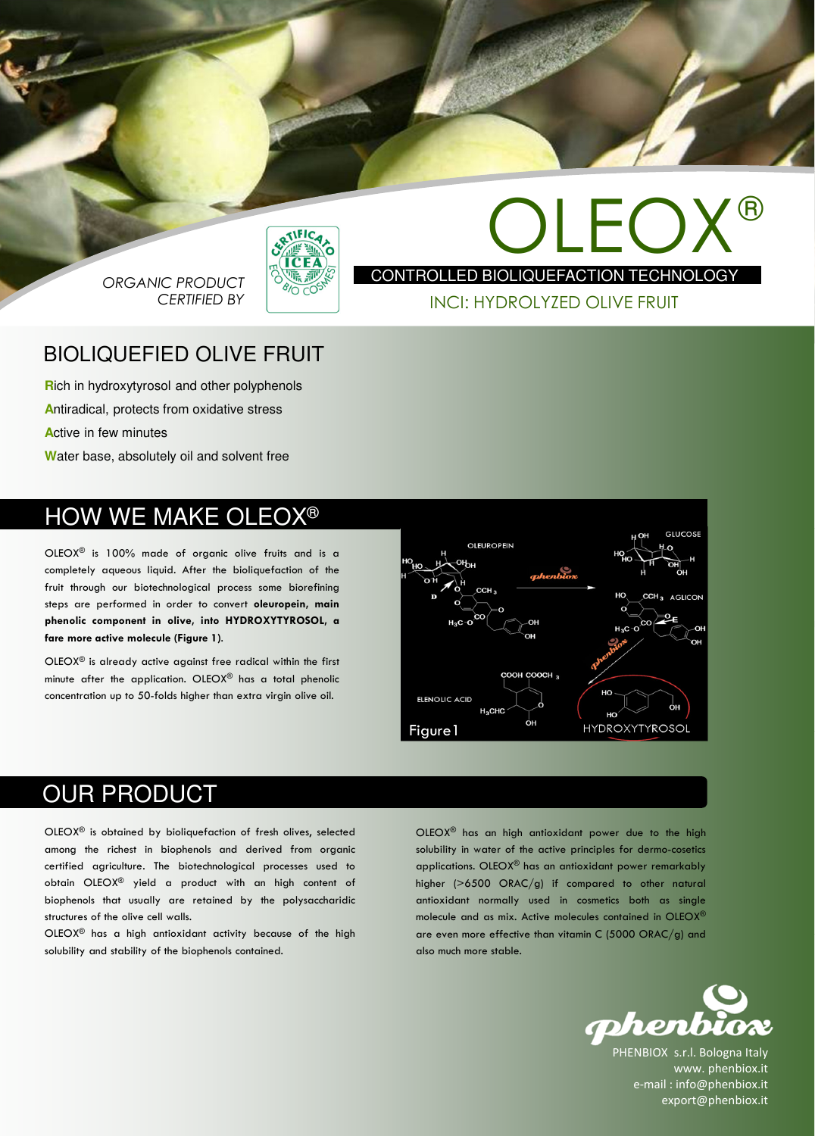

ORGANIC PRODUCT CERTIFIED BY



OLEO) CONTROLLED BIOLIQUEFACTION TECHNOLOGY ®

#### INCI: HYDROLYZED OLIVE FRUIT

#### BIOLIQUEFIED OLIVE FRUIT

**R**ich in hydroxytyrosol and other polyphenols **A**ntiradical, protects from oxidative stress **A**ctive in few minutes **W**ater base, absolutely oil and solvent free

## HOW WE MAKE OLEOX®

OLEOX® is 100% made of organic olive fruits and is a completely aqueous liquid. After the bioliquefaction of the fruit through our biotechnological process some biorefining steps are performed in order to convert oleuropein, main phenolic component in olive, into HYDROXYTYROSOL, a fare more active molecule (Figure 1).

OLEOX® is already active against free radical within the first minute after the application. OLEOX® has a total phenolic concentration up to 50-folds higher than extra virgin olive oil.



### OUR PRODUCT

OLEOX® is obtained by bioliquefaction of fresh olives, selected among the richest in biophenols and derived from organic certified agriculture. The biotechnological processes used to obtain OLEOX® yield a product with an high content of biophenols that usually are retained by the polysaccharidic structures of the olive cell walls.

OLEOX® has a high antioxidant activity because of the high solubility and stability of the biophenols contained.

OLEOX® has an high antioxidant power due to the high solubility in water of the active principles for dermo-cosetics applications. OLEOX® has an antioxidant power remarkably higher (>6500 ORAC/g) if compared to other natural antioxidant normally used in cosmetics both as single molecule and as mix. Active molecules contained in OLEOX® are even more effective than vitamin C (5000 ORAC/g) and also much more stable.



PHENBIOX s.r.l. Bologna Italy www. phenbiox.it e-mail : info@phenbiox.it export@phenbiox.it